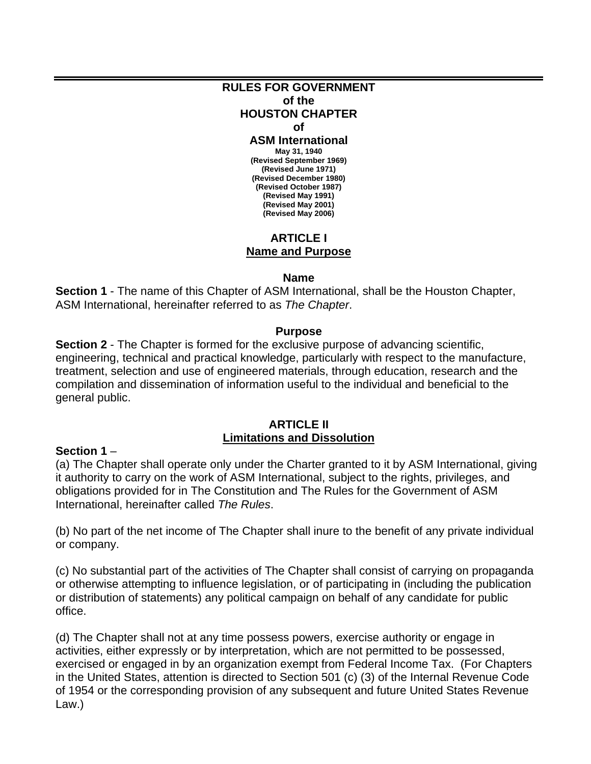#### **RULES FOR GOVERNMENT of the HOUSTON CHAPTER of**

#### **ASM International**

**May 31, 1940 (Revised September 1969) (Revised June 1971) (Revised December 1980) (Revised October 1987) (Revised May 1991) (Revised May 2001) (Revised May 2006)** 

# **ARTICLE I Name and Purpose**

#### **Name**

**Section 1** - The name of this Chapter of ASM International, shall be the Houston Chapter, ASM International, hereinafter referred to as *The Chapter*.

#### **Purpose**

**Section 2** - The Chapter is formed for the exclusive purpose of advancing scientific, engineering, technical and practical knowledge, particularly with respect to the manufacture, treatment, selection and use of engineered materials, through education, research and the compilation and dissemination of information useful to the individual and beneficial to the general public.

## **ARTICLE II Limitations and Dissolution**

#### **Section 1** –

(a) The Chapter shall operate only under the Charter granted to it by ASM International, giving it authority to carry on the work of ASM International, subject to the rights, privileges, and obligations provided for in The Constitution and The Rules for the Government of ASM International, hereinafter called *The Rules*.

(b) No part of the net income of The Chapter shall inure to the benefit of any private individual or company.

(c) No substantial part of the activities of The Chapter shall consist of carrying on propaganda or otherwise attempting to influence legislation, or of participating in (including the publication or distribution of statements) any political campaign on behalf of any candidate for public office.

(d) The Chapter shall not at any time possess powers, exercise authority or engage in activities, either expressly or by interpretation, which are not permitted to be possessed, exercised or engaged in by an organization exempt from Federal Income Tax. (For Chapters in the United States, attention is directed to Section 501 (c) (3) of the Internal Revenue Code of 1954 or the corresponding provision of any subsequent and future United States Revenue Law.)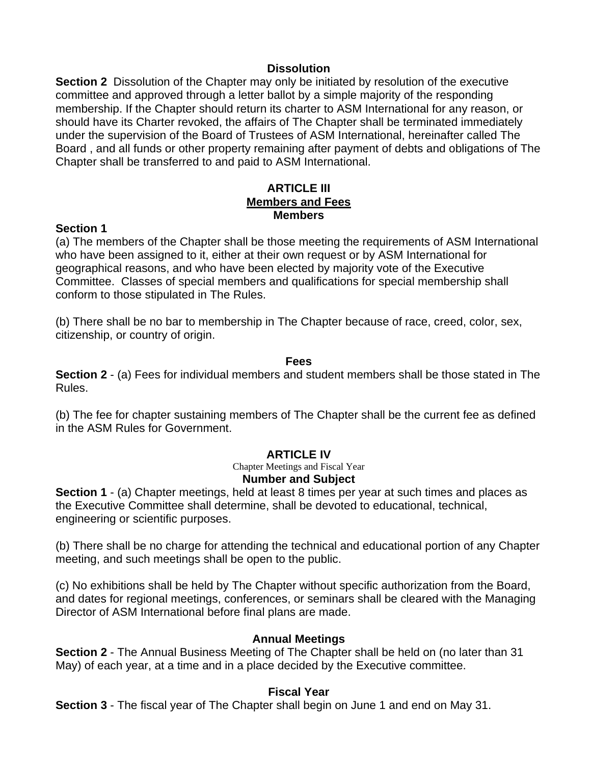## **Dissolution**

**Section 2** Dissolution of the Chapter may only be initiated by resolution of the executive committee and approved through a letter ballot by a simple majority of the responding membership. If the Chapter should return its charter to ASM International for any reason, or should have its Charter revoked, the affairs of The Chapter shall be terminated immediately under the supervision of the Board of Trustees of ASM International, hereinafter called The Board , and all funds or other property remaining after payment of debts and obligations of The Chapter shall be transferred to and paid to ASM International.

## **ARTICLE III Members and Fees Members**

## **Section 1**

(a) The members of the Chapter shall be those meeting the requirements of ASM International who have been assigned to it, either at their own request or by ASM International for geographical reasons, and who have been elected by majority vote of the Executive Committee. Classes of special members and qualifications for special membership shall conform to those stipulated in The Rules.

(b) There shall be no bar to membership in The Chapter because of race, creed, color, sex, citizenship, or country of origin.

#### **Fees**

**Section 2** - (a) Fees for individual members and student members shall be those stated in The Rules.

(b) The fee for chapter sustaining members of The Chapter shall be the current fee as defined in the ASM Rules for Government.

# **ARTICLE IV**

Chapter Meetings and Fiscal Year **Number and Subject** 

**Section 1** - (a) Chapter meetings, held at least 8 times per year at such times and places as the Executive Committee shall determine, shall be devoted to educational, technical, engineering or scientific purposes.

(b) There shall be no charge for attending the technical and educational portion of any Chapter meeting, and such meetings shall be open to the public.

(c) No exhibitions shall be held by The Chapter without specific authorization from the Board, and dates for regional meetings, conferences, or seminars shall be cleared with the Managing Director of ASM International before final plans are made.

#### **Annual Meetings**

**Section 2** - The Annual Business Meeting of The Chapter shall be held on (no later than 31 May) of each year, at a time and in a place decided by the Executive committee.

#### **Fiscal Year**

**Section 3** - The fiscal year of The Chapter shall begin on June 1 and end on May 31.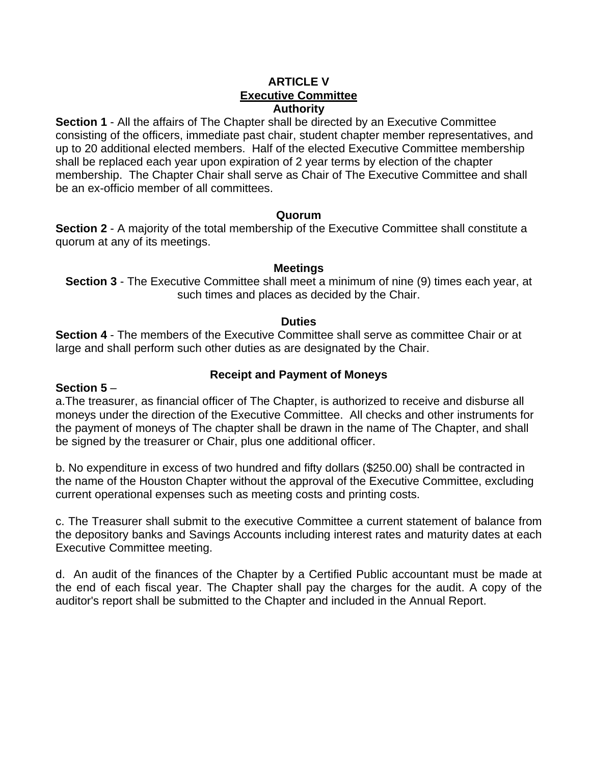# **ARTICLE V Executive Committee Authority**

**Section 1** - All the affairs of The Chapter shall be directed by an Executive Committee consisting of the officers, immediate past chair, student chapter member representatives, and up to 20 additional elected members. Half of the elected Executive Committee membership shall be replaced each year upon expiration of 2 year terms by election of the chapter membership. The Chapter Chair shall serve as Chair of The Executive Committee and shall be an ex-officio member of all committees.

## **Quorum**

**Section 2** - A majority of the total membership of the Executive Committee shall constitute a quorum at any of its meetings.

## **Meetings**

**Section 3** - The Executive Committee shall meet a minimum of nine (9) times each year, at such times and places as decided by the Chair.

# **Duties**

**Section 4** - The members of the Executive Committee shall serve as committee Chair or at large and shall perform such other duties as are designated by the Chair.

# **Receipt and Payment of Moneys**

## **Section 5** –

a.The treasurer, as financial officer of The Chapter, is authorized to receive and disburse all moneys under the direction of the Executive Committee. All checks and other instruments for the payment of moneys of The chapter shall be drawn in the name of The Chapter, and shall be signed by the treasurer or Chair, plus one additional officer.

b. No expenditure in excess of two hundred and fifty dollars (\$250.00) shall be contracted in the name of the Houston Chapter without the approval of the Executive Committee, excluding current operational expenses such as meeting costs and printing costs.

c. The Treasurer shall submit to the executive Committee a current statement of balance from the depository banks and Savings Accounts including interest rates and maturity dates at each Executive Committee meeting.

d. An audit of the finances of the Chapter by a Certified Public accountant must be made at the end of each fiscal year. The Chapter shall pay the charges for the audit. A copy of the auditor's report shall be submitted to the Chapter and included in the Annual Report.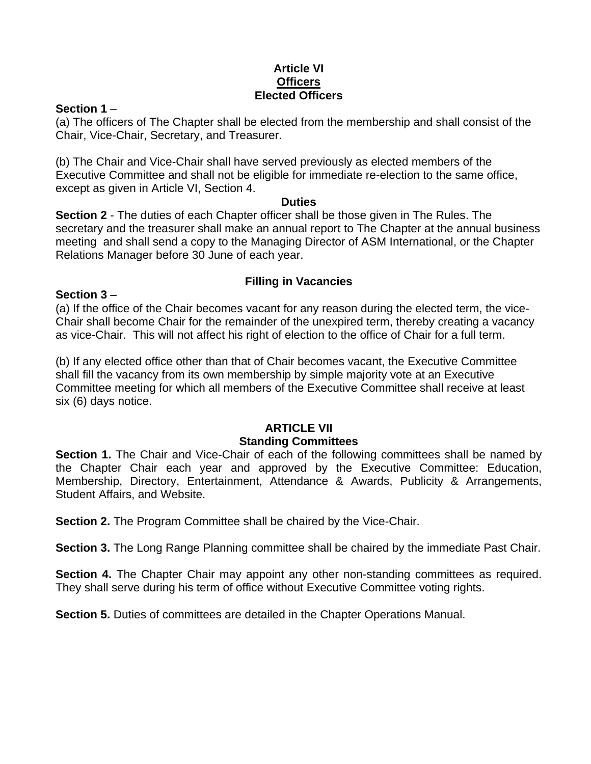# **Article VI Officers Elected Officers**

## **Section 1** –

(a) The officers of The Chapter shall be elected from the membership and shall consist of the Chair, Vice-Chair, Secretary, and Treasurer.

(b) The Chair and Vice-Chair shall have served previously as elected members of the Executive Committee and shall not be eligible for immediate re-election to the same office, except as given in Article VI, Section 4.

#### **Duties**

**Section 2** - The duties of each Chapter officer shall be those given in The Rules. The secretary and the treasurer shall make an annual report to The Chapter at the annual business meeting and shall send a copy to the Managing Director of ASM International, or the Chapter Relations Manager before 30 June of each year.

# **Filling in Vacancies**

## **Section 3** –

(a) If the office of the Chair becomes vacant for any reason during the elected term, the vice-Chair shall become Chair for the remainder of the unexpired term, thereby creating a vacancy as vice-Chair. This will not affect his right of election to the office of Chair for a full term.

(b) If any elected office other than that of Chair becomes vacant, the Executive Committee shall fill the vacancy from its own membership by simple majority vote at an Executive Committee meeting for which all members of the Executive Committee shall receive at least six (6) days notice.

## **ARTICLE VII Standing Committees**

**Section 1.** The Chair and Vice-Chair of each of the following committees shall be named by the Chapter Chair each year and approved by the Executive Committee: Education, Membership, Directory, Entertainment, Attendance & Awards, Publicity & Arrangements, Student Affairs, and Website.

**Section 2.** The Program Committee shall be chaired by the Vice-Chair.

**Section 3.** The Long Range Planning committee shall be chaired by the immediate Past Chair.

**Section 4.** The Chapter Chair may appoint any other non-standing committees as required. They shall serve during his term of office without Executive Committee voting rights.

**Section 5.** Duties of committees are detailed in the Chapter Operations Manual.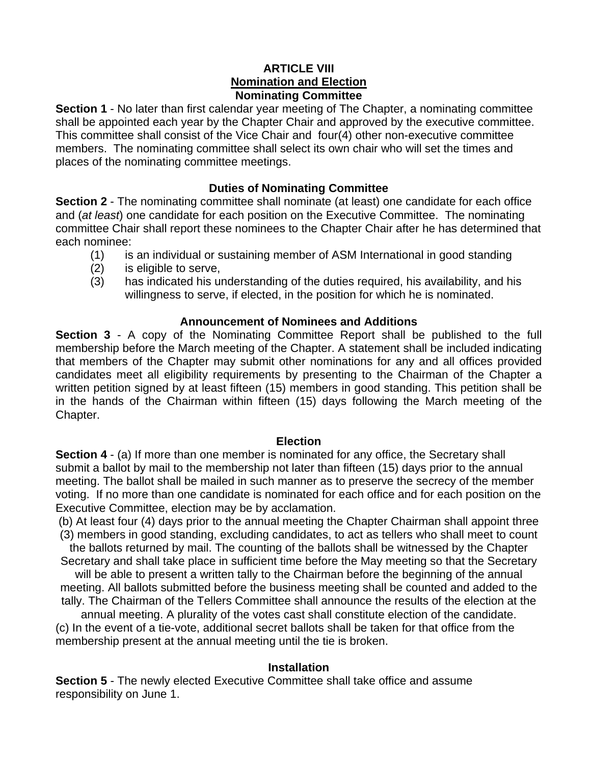# **ARTICLE VIII Nomination and Election Nominating Committee**

**Section 1** - No later than first calendar year meeting of The Chapter, a nominating committee shall be appointed each year by the Chapter Chair and approved by the executive committee. This committee shall consist of the Vice Chair and four(4) other non-executive committee members. The nominating committee shall select its own chair who will set the times and places of the nominating committee meetings.

# **Duties of Nominating Committee**

**Section 2** - The nominating committee shall nominate (at least) one candidate for each office and (*at least*) one candidate for each position on the Executive Committee. The nominating committee Chair shall report these nominees to the Chapter Chair after he has determined that each nominee:

- (1) is an individual or sustaining member of ASM International in good standing
- (2) is eligible to serve,
- (3) has indicated his understanding of the duties required, his availability, and his willingness to serve, if elected, in the position for which he is nominated.

# **Announcement of Nominees and Additions**

**Section 3** - A copy of the Nominating Committee Report shall be published to the full membership before the March meeting of the Chapter. A statement shall be included indicating that members of the Chapter may submit other nominations for any and all offices provided candidates meet all eligibility requirements by presenting to the Chairman of the Chapter a written petition signed by at least fifteen (15) members in good standing. This petition shall be in the hands of the Chairman within fifteen (15) days following the March meeting of the Chapter.

# **Election**

**Section 4** - (a) If more than one member is nominated for any office, the Secretary shall submit a ballot by mail to the membership not later than fifteen (15) days prior to the annual meeting. The ballot shall be mailed in such manner as to preserve the secrecy of the member voting. If no more than one candidate is nominated for each office and for each position on the Executive Committee, election may be by acclamation.

(b) At least four (4) days prior to the annual meeting the Chapter Chairman shall appoint three (3) members in good standing, excluding candidates, to act as tellers who shall meet to count

the ballots returned by mail. The counting of the ballots shall be witnessed by the Chapter Secretary and shall take place in sufficient time before the May meeting so that the Secretary

will be able to present a written tally to the Chairman before the beginning of the annual meeting. All ballots submitted before the business meeting shall be counted and added to the tally. The Chairman of the Tellers Committee shall announce the results of the election at the

annual meeting. A plurality of the votes cast shall constitute election of the candidate. (c) In the event of a tie-vote, additional secret ballots shall be taken for that office from the membership present at the annual meeting until the tie is broken.

# **Installation**

**Section 5** - The newly elected Executive Committee shall take office and assume responsibility on June 1.